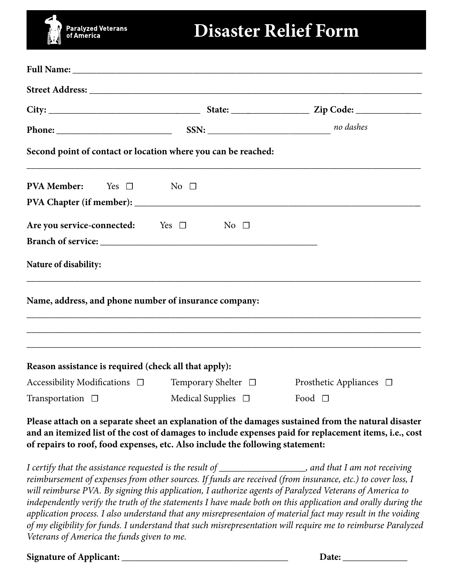# **Paralyzed Veterans**<br>of America

#### **Disaster Relief Form**

| Second point of contact or location where you can be reached: |                         |                          |                                                                                                     |
|---------------------------------------------------------------|-------------------------|--------------------------|-----------------------------------------------------------------------------------------------------|
| <b>PVA Member:</b><br>Yes $\square$ No $\square$              |                         |                          |                                                                                                     |
|                                                               |                         |                          |                                                                                                     |
| Are you service-connected: Yes $\Box$                         |                         | No $\Box$                |                                                                                                     |
|                                                               |                         |                          |                                                                                                     |
| Nature of disability:                                         |                         |                          |                                                                                                     |
| Name, address, and phone number of insurance company:         |                         |                          |                                                                                                     |
| Reason assistance is required (check all that apply):         |                         |                          | ,我们也不能在这里的时候,我们也不能在这里的时候,我们也不能会在这里,我们也不能会不能会不能会不能会不能会不能会。""我们,我们也不能会不能会不能会不能会不能会                    |
| Accessibility Modifications $\Box$                            |                         | Temporary Shelter $\Box$ | Prosthetic Appliances $\Box$                                                                        |
| Transportation $\Box$                                         | Medical Supplies $\Box$ |                          | Food $\Box$                                                                                         |
|                                                               |                         |                          | Please attach on a separate sheet an explanation of the damages sustained from the natural disaster |

**Please attach on a separate sheet an explanation of the damages sustained from the natural disaster and an itemized list of the cost of damages to include expenses paid for replacement items, i.e., cost of repairs to roof, food expenses, etc. Also include the following statement:**

*I certify that the assistance requested is the result of \_\_\_\_\_\_\_\_\_\_\_\_\_\_\_\_\_\_, and that I am not receiving reimbursement of expenses from other sources. If funds are received (from insurance, etc.) to cover loss, I will reimburse PVA. By signing this application, I authorize agents of Paralyzed Veterans of America to independently verify the truth of the statements I have made both on this application and orally during the application process. I also understand that any misrepresentaion of material fact may result in the voiding of my eligibility for funds. I understand that such misrepresentation will require me to reimburse Paralyzed Veterans of America the funds given to me.*

**Signature of Applicant: \_\_\_\_\_\_\_\_\_\_\_\_\_\_\_\_\_\_\_\_\_\_\_\_\_\_\_\_\_\_\_\_\_\_\_\_ Date: \_\_\_\_\_\_\_\_\_\_\_\_\_\_**